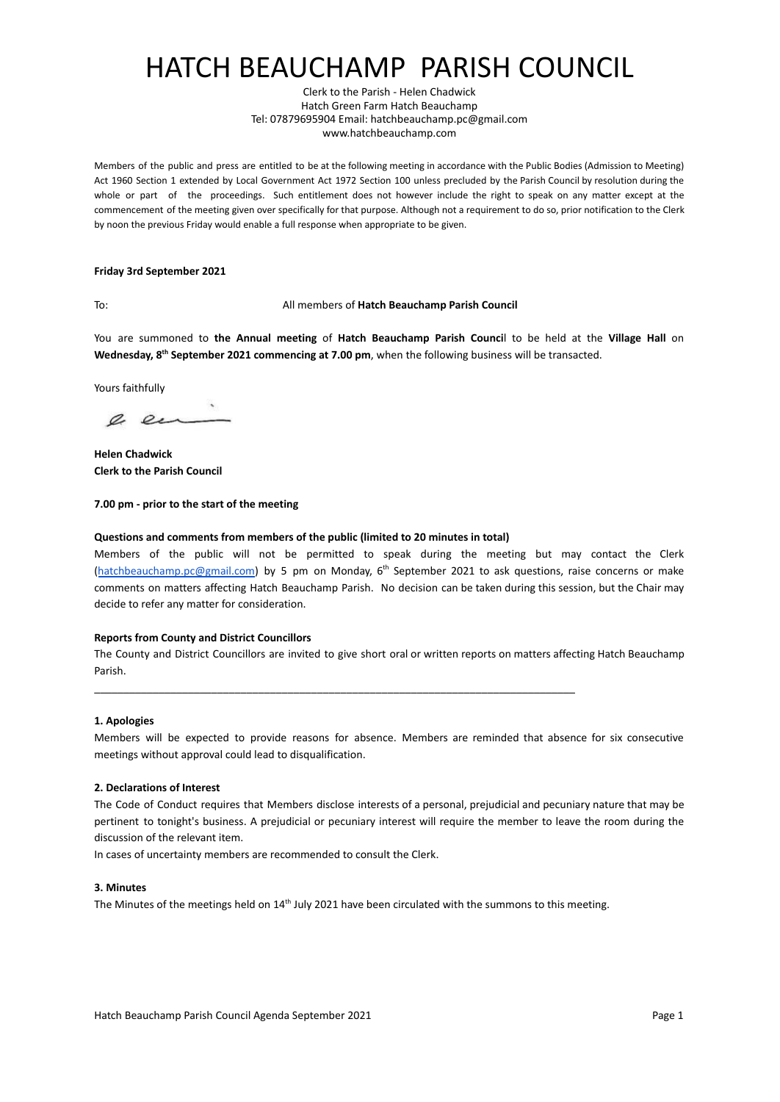# HATCH BEAUCHAMP PARISH COUNCIL

Clerk to the Parish - Helen Chadwick Hatch Green Farm Hatch Beauchamp Tel: 07879695904 Email: hatchbeauchamp.pc@gmail.com www.hatchbeauchamp.com

Members of the public and press are entitled to be at the following meeting in accordance with the Public Bodies (Admission to Meeting) Act 1960 Section 1 extended by Local Government Act 1972 Section 100 unless precluded by the Parish Council by resolution during the whole or part of the proceedings. Such entitlement does not however include the right to speak on any matter except at the commencement of the meeting given over specifically for that purpose. Although not a requirement to do so, prior notification to the Clerk by noon the previous Friday would enable a full response when appropriate to be given.

### **Friday 3rd September 2021**

### To: All members of **Hatch Beauchamp Parish Council**

You are summoned to **the Annual meeting** of **Hatch Beauchamp Parish Counci**l to be held at [the](http://zoom.us/) **Village Hall** on **Wednesday, 8th September 2021 commencing at 7.00 pm**, when the following business will be transacted.

Yours faithfully

e en

**Helen Chadwick Clerk to the Parish Council**

**7.00 pm - prior to the start of the meeting**

### **Questions and comments from members of the public (limited to 20 minutes in total)**

Members of the public will not be permitted to speak during the meeting but may contact the Clerk ([hatchbeauchamp.pc@gmail.com\)](mailto:hatchbeauchamp.pc@gmail.com) by 5 pm on Monday, 6<sup>th</sup> September 2021 to ask questions, raise concerns or make comments on matters affecting Hatch Beauchamp Parish. No decision can be taken during this session, but the Chair may decide to refer any matter for consideration.

### **Reports from County and District Councillors**

The County and District Councillors are invited to give short oral or written reports on matters affecting Hatch Beauchamp Parish.

### **1. Apologies**

Members will be expected to provide reasons for absence. Members are reminded that absence for six consecutive meetings without approval could lead to disqualification.

### **2. Declarations of Interest**

The Code of Conduct requires that Members disclose interests of a personal, prejudicial and pecuniary nature that may be pertinent to tonight's business. A prejudicial or pecuniary interest will require the member to leave the room during the discussion of the relevant item.

In cases of uncertainty members are recommended to consult the Clerk.

### **3. Minutes**

The Minutes of the meetings held on  $14<sup>th</sup>$  July 2021 have been circulated with the summons to this meeting.

\_\_\_\_\_\_\_\_\_\_\_\_\_\_\_\_\_\_\_\_\_\_\_\_\_\_\_\_\_\_\_\_\_\_\_\_\_\_\_\_\_\_\_\_\_\_\_\_\_\_\_\_\_\_\_\_\_\_\_\_\_\_\_\_\_\_\_\_\_\_\_\_\_\_\_\_\_\_\_\_\_\_